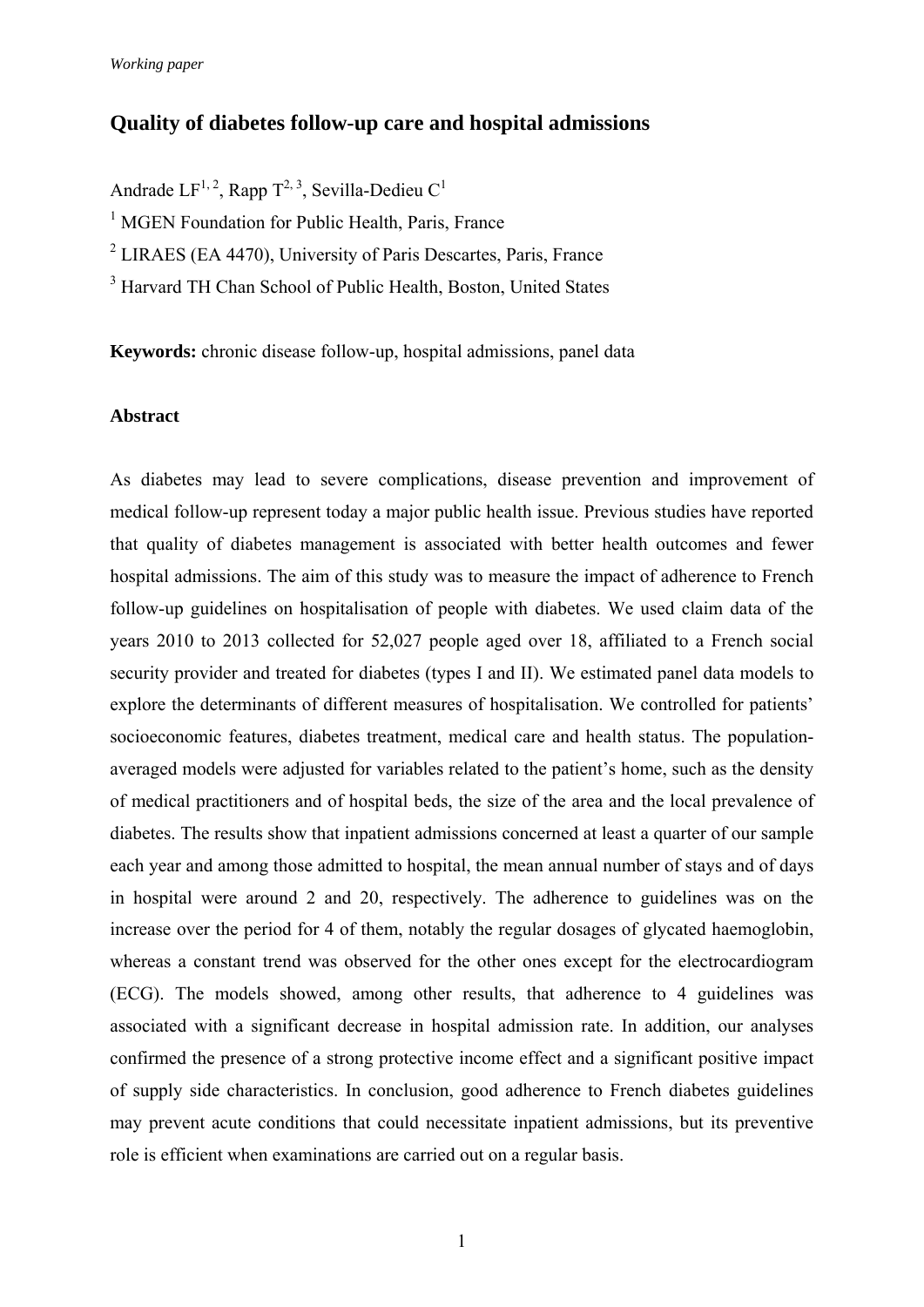# **Quality of diabetes follow-up care and hospital admissions**

Andrade  $LF^{1,2}$ , Rapp  $T^{2,3}$ , Sevilla-Dedieu  $C^1$ 

<sup>1</sup> MGEN Foundation for Public Health, Paris, France

<sup>2</sup> LIRAES (EA 4470), University of Paris Descartes, Paris, France

<sup>3</sup> Harvard TH Chan School of Public Health, Boston, United States

**Keywords:** chronic disease follow-up, hospital admissions, panel data

### **Abstract**

As diabetes may lead to severe complications, disease prevention and improvement of medical follow-up represent today a major public health issue. Previous studies have reported that quality of diabetes management is associated with better health outcomes and fewer hospital admissions. The aim of this study was to measure the impact of adherence to French follow-up guidelines on hospitalisation of people with diabetes. We used claim data of the years 2010 to 2013 collected for 52,027 people aged over 18, affiliated to a French social security provider and treated for diabetes (types I and II). We estimated panel data models to explore the determinants of different measures of hospitalisation. We controlled for patients' socioeconomic features, diabetes treatment, medical care and health status. The populationaveraged models were adjusted for variables related to the patient's home, such as the density of medical practitioners and of hospital beds, the size of the area and the local prevalence of diabetes. The results show that inpatient admissions concerned at least a quarter of our sample each year and among those admitted to hospital, the mean annual number of stays and of days in hospital were around 2 and 20, respectively. The adherence to guidelines was on the increase over the period for 4 of them, notably the regular dosages of glycated haemoglobin, whereas a constant trend was observed for the other ones except for the electrocardiogram (ECG). The models showed, among other results, that adherence to 4 guidelines was associated with a significant decrease in hospital admission rate. In addition, our analyses confirmed the presence of a strong protective income effect and a significant positive impact of supply side characteristics. In conclusion, good adherence to French diabetes guidelines may prevent acute conditions that could necessitate inpatient admissions, but its preventive role is efficient when examinations are carried out on a regular basis.

1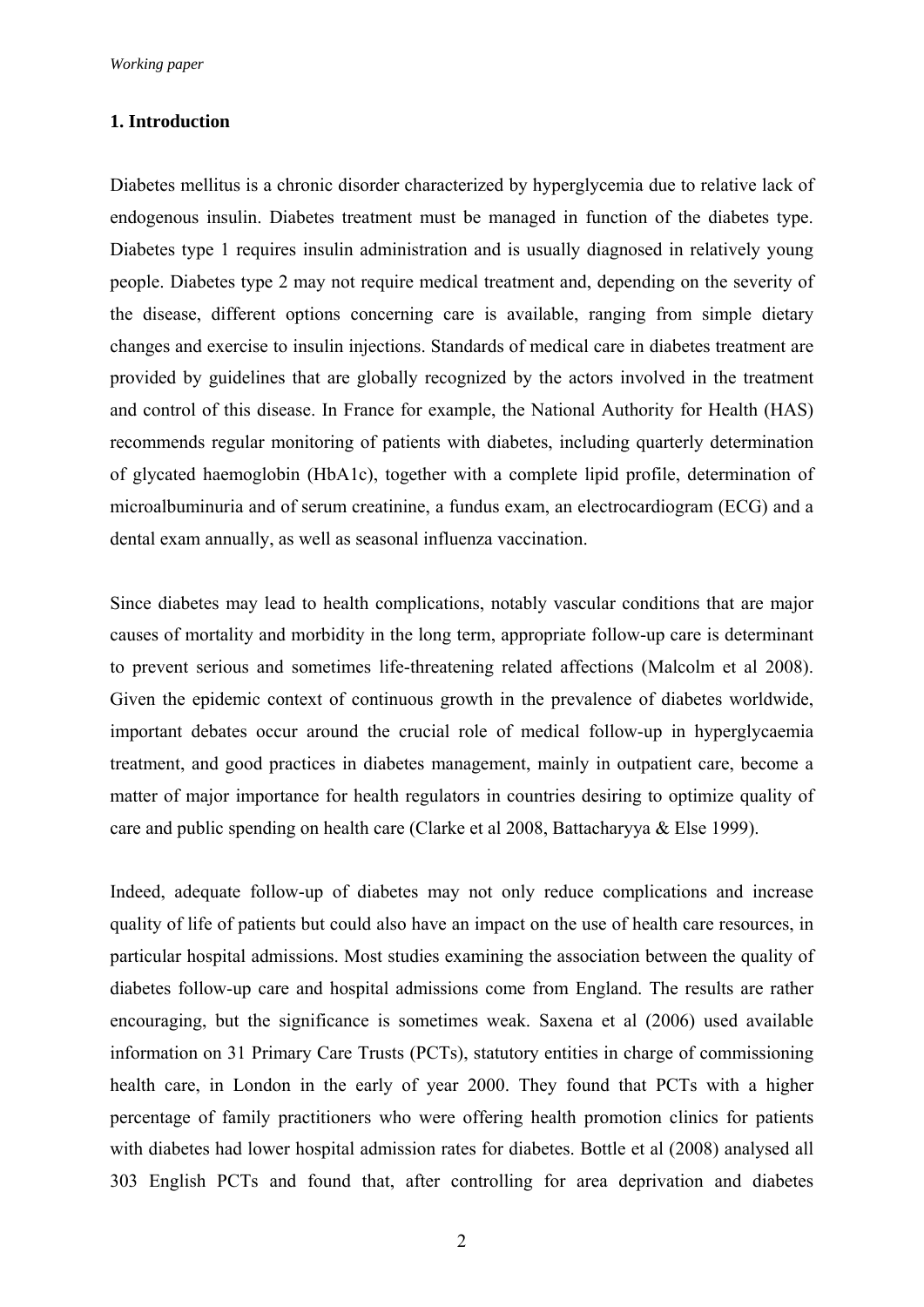### **1. Introduction**

Diabetes mellitus is a chronic disorder characterized by hyperglycemia due to relative lack of endogenous insulin. Diabetes treatment must be managed in function of the diabetes type. Diabetes type 1 requires insulin administration and is usually diagnosed in relatively young people. Diabetes type 2 may not require medical treatment and, depending on the severity of the disease, different options concerning care is available, ranging from simple dietary changes and exercise to insulin injections. Standards of medical care in diabetes treatment are provided by guidelines that are globally recognized by the actors involved in the treatment and control of this disease. In France for example, the National Authority for Health (HAS) recommends regular monitoring of patients with diabetes, including quarterly determination of glycated haemoglobin (HbA1c), together with a complete lipid profile, determination of microalbuminuria and of serum creatinine, a fundus exam, an electrocardiogram (ECG) and a dental exam annually, as well as seasonal influenza vaccination.

Since diabetes may lead to health complications, notably vascular conditions that are major causes of mortality and morbidity in the long term, appropriate follow-up care is determinant to prevent serious and sometimes life-threatening related affections (Malcolm et al 2008). Given the epidemic context of continuous growth in the prevalence of diabetes worldwide, important debates occur around the crucial role of medical follow-up in hyperglycaemia treatment, and good practices in diabetes management, mainly in outpatient care, become a matter of major importance for health regulators in countries desiring to optimize quality of care and public spending on health care (Clarke et al 2008, Battacharyya & Else 1999).

Indeed, adequate follow-up of diabetes may not only reduce complications and increase quality of life of patients but could also have an impact on the use of health care resources, in particular hospital admissions. Most studies examining the association between the quality of diabetes follow-up care and hospital admissions come from England. The results are rather encouraging, but the significance is sometimes weak. Saxena et al (2006) used available information on 31 Primary Care Trusts (PCTs), statutory entities in charge of commissioning health care, in London in the early of year 2000. They found that PCTs with a higher percentage of family practitioners who were offering health promotion clinics for patients with diabetes had lower hospital admission rates for diabetes. Bottle et al (2008) analysed all 303 English PCTs and found that, after controlling for area deprivation and diabetes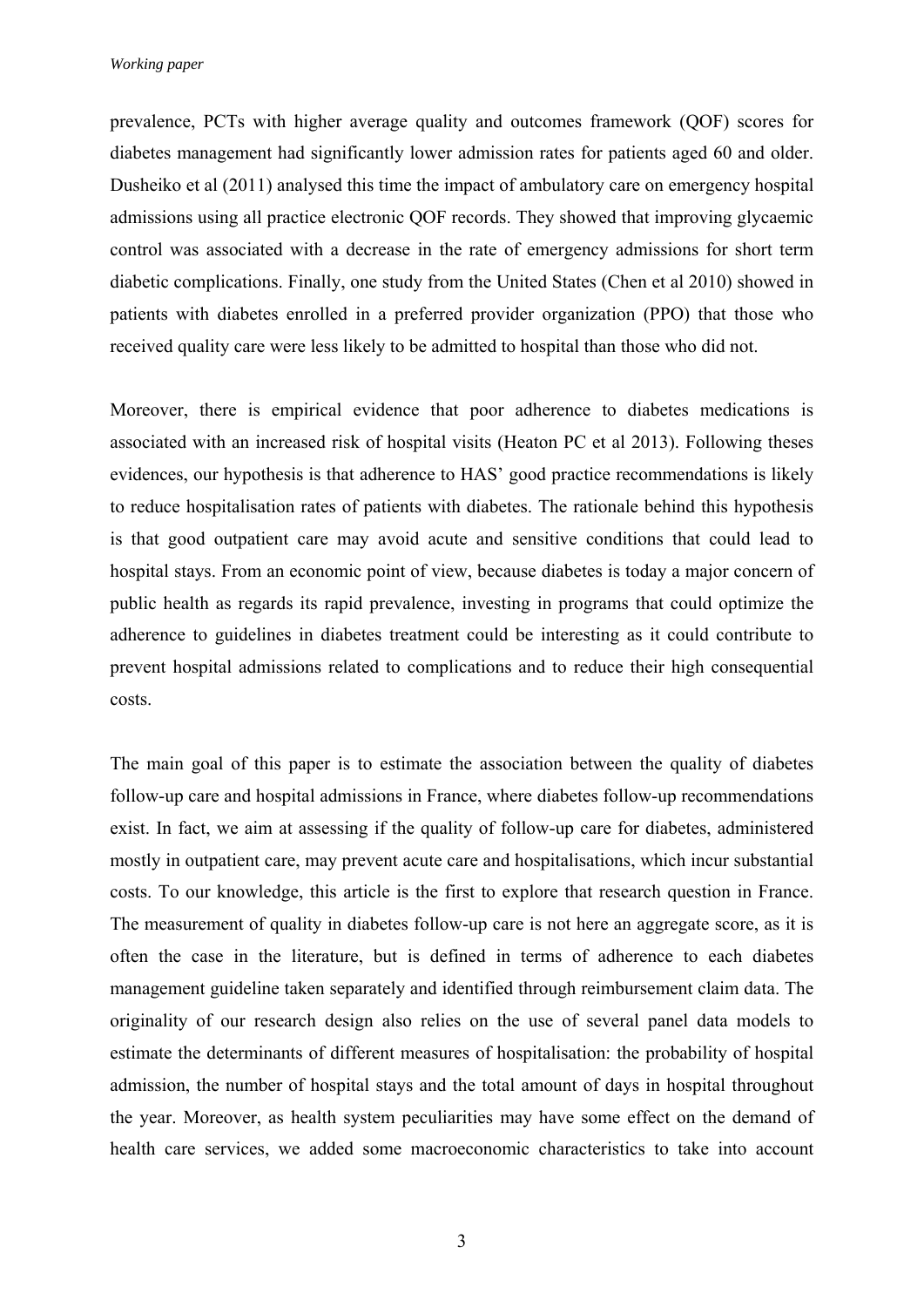prevalence, PCTs with higher average quality and outcomes framework (QOF) scores for diabetes management had significantly lower admission rates for patients aged 60 and older. Dusheiko et al (2011) analysed this time the impact of ambulatory care on emergency hospital admissions using all practice electronic QOF records. They showed that improving glycaemic control was associated with a decrease in the rate of emergency admissions for short term diabetic complications. Finally, one study from the United States (Chen et al 2010) showed in patients with diabetes enrolled in a preferred provider organization (PPO) that those who received quality care were less likely to be admitted to hospital than those who did not.

Moreover, there is empirical evidence that poor adherence to diabetes medications is associated with an increased risk of hospital visits (Heaton PC et al 2013). Following theses evidences, our hypothesis is that adherence to HAS' good practice recommendations is likely to reduce hospitalisation rates of patients with diabetes. The rationale behind this hypothesis is that good outpatient care may avoid acute and sensitive conditions that could lead to hospital stays. From an economic point of view, because diabetes is today a major concern of public health as regards its rapid prevalence, investing in programs that could optimize the adherence to guidelines in diabetes treatment could be interesting as it could contribute to prevent hospital admissions related to complications and to reduce their high consequential costs.

The main goal of this paper is to estimate the association between the quality of diabetes follow-up care and hospital admissions in France, where diabetes follow-up recommendations exist. In fact, we aim at assessing if the quality of follow-up care for diabetes, administered mostly in outpatient care, may prevent acute care and hospitalisations, which incur substantial costs. To our knowledge, this article is the first to explore that research question in France. The measurement of quality in diabetes follow-up care is not here an aggregate score, as it is often the case in the literature, but is defined in terms of adherence to each diabetes management guideline taken separately and identified through reimbursement claim data. The originality of our research design also relies on the use of several panel data models to estimate the determinants of different measures of hospitalisation: the probability of hospital admission, the number of hospital stays and the total amount of days in hospital throughout the year. Moreover, as health system peculiarities may have some effect on the demand of health care services, we added some macroeconomic characteristics to take into account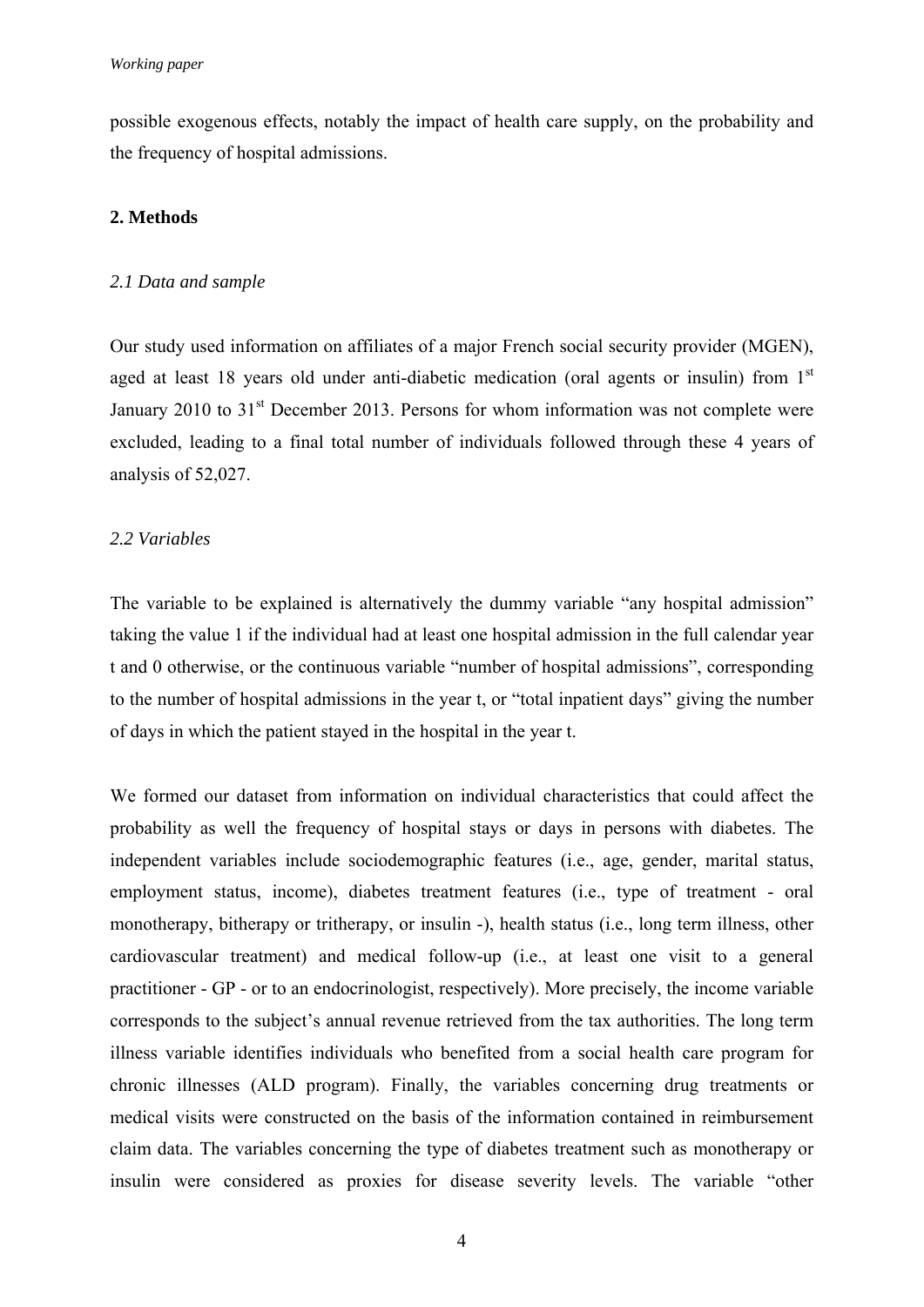possible exogenous effects, notably the impact of health care supply, on the probability and the frequency of hospital admissions.

### **2. Methods**

### *2.1 Data and sample*

Our study used information on affiliates of a major French social security provider (MGEN), aged at least 18 years old under anti-diabetic medication (oral agents or insulin) from 1<sup>st</sup> January 2010 to  $31<sup>st</sup>$  December 2013. Persons for whom information was not complete were excluded, leading to a final total number of individuals followed through these 4 years of analysis of 52,027.

### *2.2 Variables*

The variable to be explained is alternatively the dummy variable "any hospital admission" taking the value 1 if the individual had at least one hospital admission in the full calendar year t and 0 otherwise, or the continuous variable "number of hospital admissions", corresponding to the number of hospital admissions in the year t, or "total inpatient days" giving the number of days in which the patient stayed in the hospital in the year t.

We formed our dataset from information on individual characteristics that could affect the probability as well the frequency of hospital stays or days in persons with diabetes. The independent variables include sociodemographic features (i.e., age, gender, marital status, employment status, income), diabetes treatment features (i.e., type of treatment - oral monotherapy, bitherapy or tritherapy, or insulin -), health status (i.e., long term illness, other cardiovascular treatment) and medical follow-up (i.e., at least one visit to a general practitioner - GP - or to an endocrinologist, respectively). More precisely, the income variable corresponds to the subject's annual revenue retrieved from the tax authorities. The long term illness variable identifies individuals who benefited from a social health care program for chronic illnesses (ALD program). Finally, the variables concerning drug treatments or medical visits were constructed on the basis of the information contained in reimbursement claim data. The variables concerning the type of diabetes treatment such as monotherapy or insulin were considered as proxies for disease severity levels. The variable "other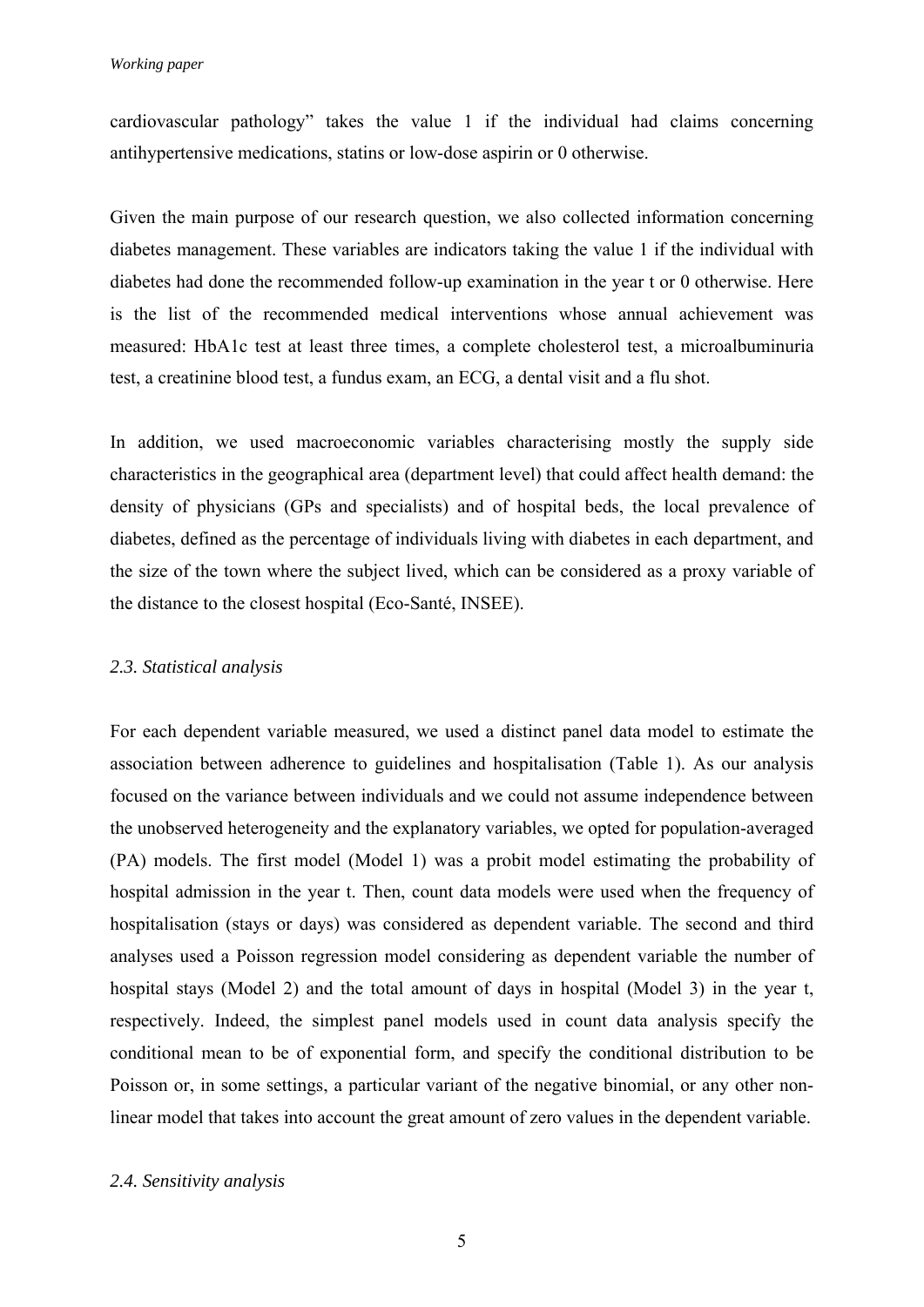cardiovascular pathology" takes the value 1 if the individual had claims concerning antihypertensive medications, statins or low-dose aspirin or 0 otherwise.

Given the main purpose of our research question, we also collected information concerning diabetes management. These variables are indicators taking the value 1 if the individual with diabetes had done the recommended follow-up examination in the year t or 0 otherwise. Here is the list of the recommended medical interventions whose annual achievement was measured: HbA1c test at least three times, a complete cholesterol test, a microalbuminuria test, a creatinine blood test, a fundus exam, an ECG, a dental visit and a flu shot.

In addition, we used macroeconomic variables characterising mostly the supply side characteristics in the geographical area (department level) that could affect health demand: the density of physicians (GPs and specialists) and of hospital beds, the local prevalence of diabetes, defined as the percentage of individuals living with diabetes in each department, and the size of the town where the subject lived, which can be considered as a proxy variable of the distance to the closest hospital (Eco-Santé, INSEE).

### *2.3. Statistical analysis*

For each dependent variable measured, we used a distinct panel data model to estimate the association between adherence to guidelines and hospitalisation (Table 1). As our analysis focused on the variance between individuals and we could not assume independence between the unobserved heterogeneity and the explanatory variables, we opted for population-averaged (PA) models. The first model (Model 1) was a probit model estimating the probability of hospital admission in the year t. Then, count data models were used when the frequency of hospitalisation (stays or days) was considered as dependent variable. The second and third analyses used a Poisson regression model considering as dependent variable the number of hospital stays (Model 2) and the total amount of days in hospital (Model 3) in the year t, respectively. Indeed, the simplest panel models used in count data analysis specify the conditional mean to be of exponential form, and specify the conditional distribution to be Poisson or, in some settings, a particular variant of the negative binomial, or any other nonlinear model that takes into account the great amount of zero values in the dependent variable.

### *2.4. Sensitivity analysis*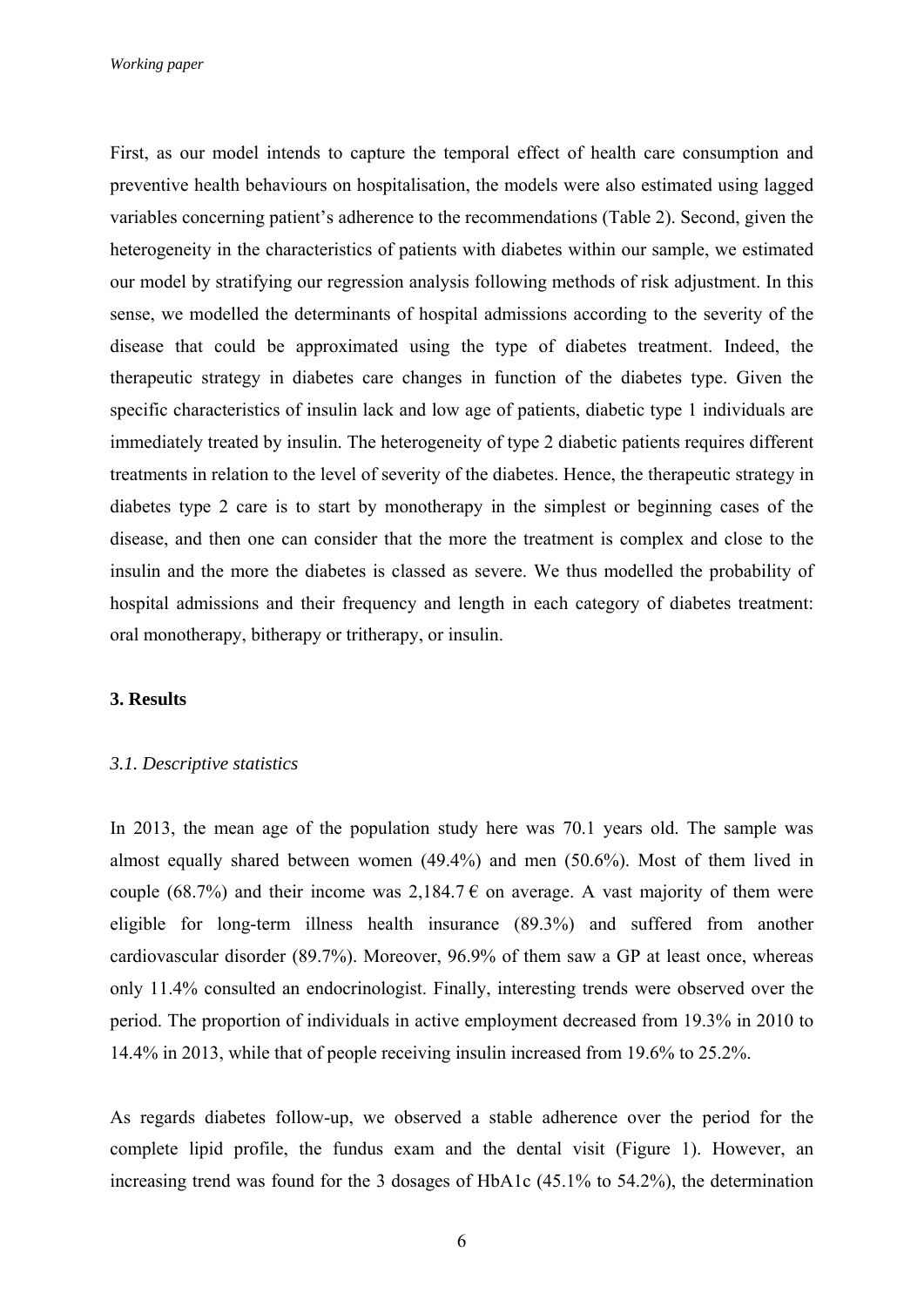First, as our model intends to capture the temporal effect of health care consumption and preventive health behaviours on hospitalisation, the models were also estimated using lagged variables concerning patient's adherence to the recommendations (Table 2). Second, given the heterogeneity in the characteristics of patients with diabetes within our sample, we estimated our model by stratifying our regression analysis following methods of risk adjustment. In this sense, we modelled the determinants of hospital admissions according to the severity of the disease that could be approximated using the type of diabetes treatment. Indeed, the therapeutic strategy in diabetes care changes in function of the diabetes type. Given the specific characteristics of insulin lack and low age of patients, diabetic type 1 individuals are immediately treated by insulin. The heterogeneity of type 2 diabetic patients requires different treatments in relation to the level of severity of the diabetes. Hence, the therapeutic strategy in diabetes type 2 care is to start by monotherapy in the simplest or beginning cases of the disease, and then one can consider that the more the treatment is complex and close to the insulin and the more the diabetes is classed as severe. We thus modelled the probability of hospital admissions and their frequency and length in each category of diabetes treatment: oral monotherapy, bitherapy or tritherapy, or insulin.

### **3. Results**

#### *3.1. Descriptive statistics*

In 2013, the mean age of the population study here was 70.1 years old. The sample was almost equally shared between women (49.4%) and men (50.6%). Most of them lived in couple (68.7%) and their income was 2,184.7  $\epsilon$  on average. A vast majority of them were eligible for long-term illness health insurance (89.3%) and suffered from another cardiovascular disorder (89.7%). Moreover, 96.9% of them saw a GP at least once, whereas only 11.4% consulted an endocrinologist. Finally, interesting trends were observed over the period. The proportion of individuals in active employment decreased from 19.3% in 2010 to 14.4% in 2013, while that of people receiving insulin increased from 19.6% to 25.2%.

As regards diabetes follow-up, we observed a stable adherence over the period for the complete lipid profile, the fundus exam and the dental visit (Figure 1). However, an increasing trend was found for the 3 dosages of HbA1c (45.1% to 54.2%), the determination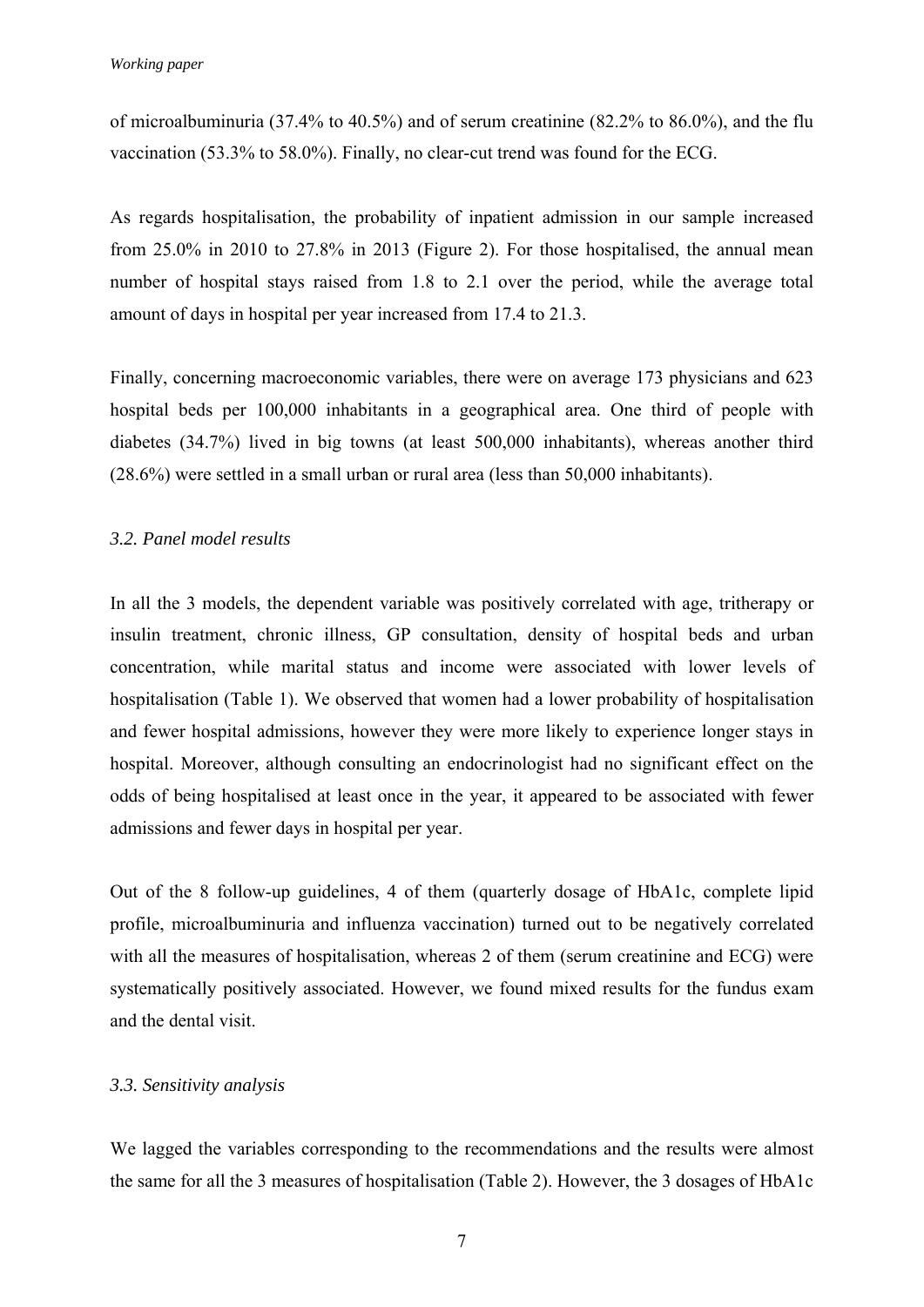of microalbuminuria (37.4% to 40.5%) and of serum creatinine (82.2% to 86.0%), and the flu vaccination (53.3% to 58.0%). Finally, no clear-cut trend was found for the ECG.

As regards hospitalisation, the probability of inpatient admission in our sample increased from 25.0% in 2010 to 27.8% in 2013 (Figure 2). For those hospitalised, the annual mean number of hospital stays raised from 1.8 to 2.1 over the period, while the average total amount of days in hospital per year increased from 17.4 to 21.3.

Finally, concerning macroeconomic variables, there were on average 173 physicians and 623 hospital beds per 100,000 inhabitants in a geographical area. One third of people with diabetes (34.7%) lived in big towns (at least 500,000 inhabitants), whereas another third (28.6%) were settled in a small urban or rural area (less than 50,000 inhabitants).

### *3.2. Panel model results*

In all the 3 models, the dependent variable was positively correlated with age, tritherapy or insulin treatment, chronic illness, GP consultation, density of hospital beds and urban concentration, while marital status and income were associated with lower levels of hospitalisation (Table 1). We observed that women had a lower probability of hospitalisation and fewer hospital admissions, however they were more likely to experience longer stays in hospital. Moreover, although consulting an endocrinologist had no significant effect on the odds of being hospitalised at least once in the year, it appeared to be associated with fewer admissions and fewer days in hospital per year.

Out of the 8 follow-up guidelines, 4 of them (quarterly dosage of HbA1c, complete lipid profile, microalbuminuria and influenza vaccination) turned out to be negatively correlated with all the measures of hospitalisation, whereas 2 of them (serum creatinine and ECG) were systematically positively associated. However, we found mixed results for the fundus exam and the dental visit.

## *3.3. Sensitivity analysis*

We lagged the variables corresponding to the recommendations and the results were almost the same for all the 3 measures of hospitalisation (Table 2). However, the 3 dosages of HbA1c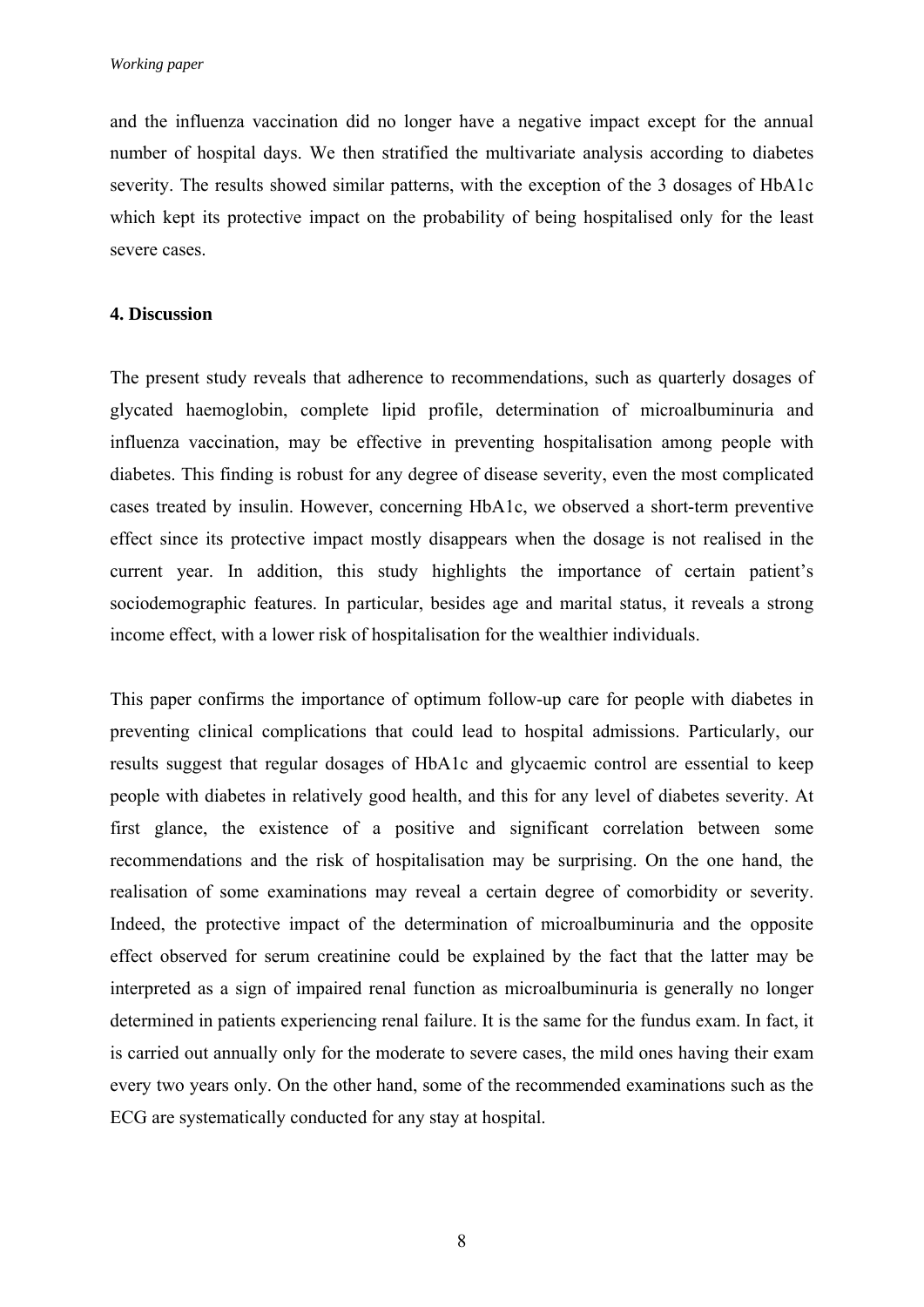and the influenza vaccination did no longer have a negative impact except for the annual number of hospital days. We then stratified the multivariate analysis according to diabetes severity. The results showed similar patterns, with the exception of the 3 dosages of HbA1c which kept its protective impact on the probability of being hospitalised only for the least severe cases.

### **4. Discussion**

The present study reveals that adherence to recommendations, such as quarterly dosages of glycated haemoglobin, complete lipid profile, determination of microalbuminuria and influenza vaccination, may be effective in preventing hospitalisation among people with diabetes. This finding is robust for any degree of disease severity, even the most complicated cases treated by insulin. However, concerning HbA1c, we observed a short-term preventive effect since its protective impact mostly disappears when the dosage is not realised in the current year. In addition, this study highlights the importance of certain patient's sociodemographic features. In particular, besides age and marital status, it reveals a strong income effect, with a lower risk of hospitalisation for the wealthier individuals.

This paper confirms the importance of optimum follow-up care for people with diabetes in preventing clinical complications that could lead to hospital admissions. Particularly, our results suggest that regular dosages of HbA1c and glycaemic control are essential to keep people with diabetes in relatively good health, and this for any level of diabetes severity. At first glance, the existence of a positive and significant correlation between some recommendations and the risk of hospitalisation may be surprising. On the one hand, the realisation of some examinations may reveal a certain degree of comorbidity or severity. Indeed, the protective impact of the determination of microalbuminuria and the opposite effect observed for serum creatinine could be explained by the fact that the latter may be interpreted as a sign of impaired renal function as microalbuminuria is generally no longer determined in patients experiencing renal failure. It is the same for the fundus exam. In fact, it is carried out annually only for the moderate to severe cases, the mild ones having their exam every two years only. On the other hand, some of the recommended examinations such as the ECG are systematically conducted for any stay at hospital.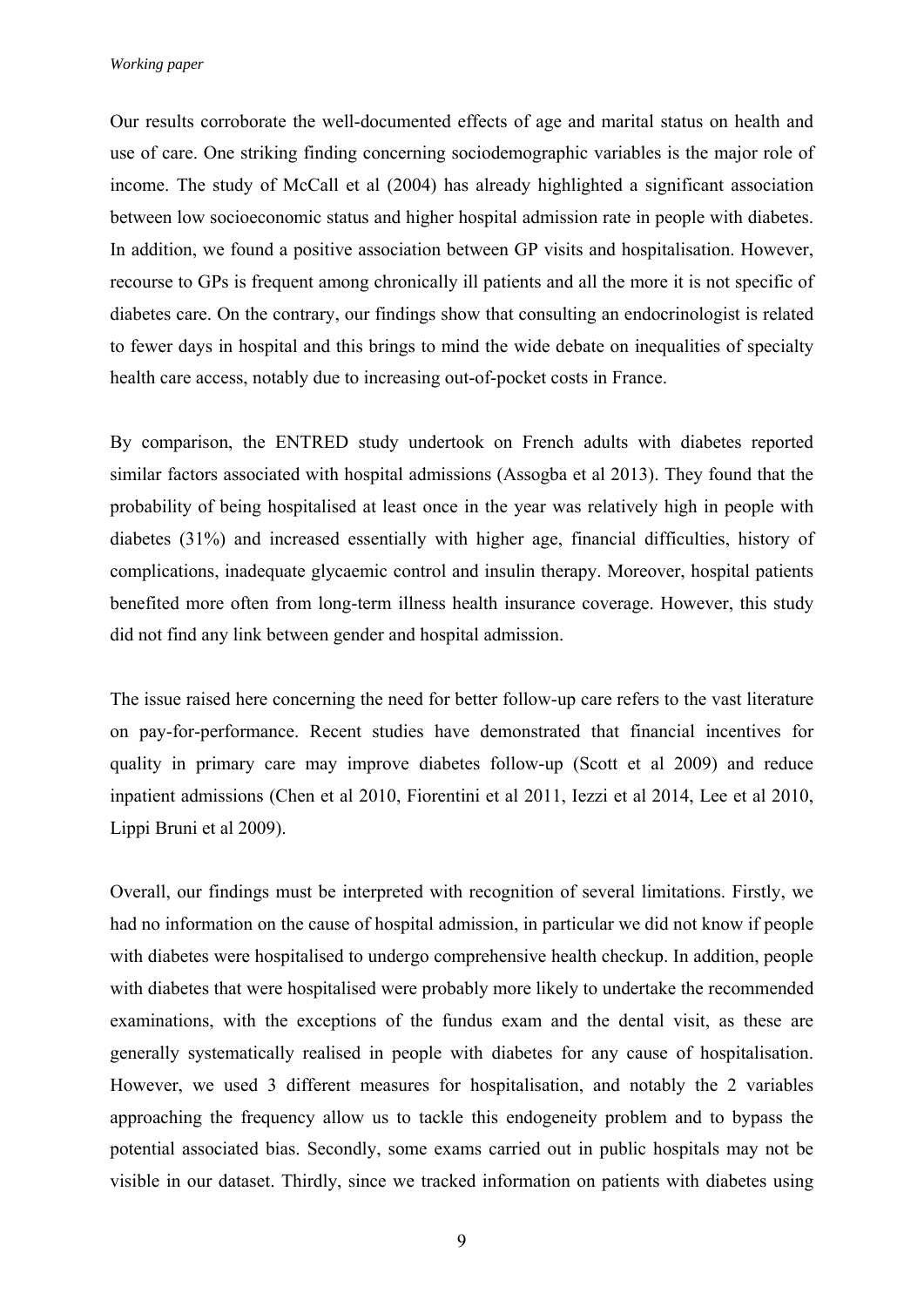Our results corroborate the well-documented effects of age and marital status on health and use of care. One striking finding concerning sociodemographic variables is the major role of income. The study of McCall et al (2004) has already highlighted a significant association between low socioeconomic status and higher hospital admission rate in people with diabetes. In addition, we found a positive association between GP visits and hospitalisation. However, recourse to GPs is frequent among chronically ill patients and all the more it is not specific of diabetes care. On the contrary, our findings show that consulting an endocrinologist is related to fewer days in hospital and this brings to mind the wide debate on inequalities of specialty health care access, notably due to increasing out-of-pocket costs in France.

By comparison, the ENTRED study undertook on French adults with diabetes reported similar factors associated with hospital admissions (Assogba et al 2013). They found that the probability of being hospitalised at least once in the year was relatively high in people with diabetes (31%) and increased essentially with higher age, financial difficulties, history of complications, inadequate glycaemic control and insulin therapy. Moreover, hospital patients benefited more often from long-term illness health insurance coverage. However, this study did not find any link between gender and hospital admission.

The issue raised here concerning the need for better follow-up care refers to the vast literature on pay-for-performance. Recent studies have demonstrated that financial incentives for quality in primary care may improve diabetes follow-up (Scott et al 2009) and reduce inpatient admissions (Chen et al 2010, Fiorentini et al 2011, Iezzi et al 2014, Lee et al 2010, Lippi Bruni et al 2009).

Overall, our findings must be interpreted with recognition of several limitations. Firstly, we had no information on the cause of hospital admission, in particular we did not know if people with diabetes were hospitalised to undergo comprehensive health checkup. In addition, people with diabetes that were hospitalised were probably more likely to undertake the recommended examinations, with the exceptions of the fundus exam and the dental visit, as these are generally systematically realised in people with diabetes for any cause of hospitalisation. However, we used 3 different measures for hospitalisation, and notably the 2 variables approaching the frequency allow us to tackle this endogeneity problem and to bypass the potential associated bias. Secondly, some exams carried out in public hospitals may not be visible in our dataset. Thirdly, since we tracked information on patients with diabetes using

9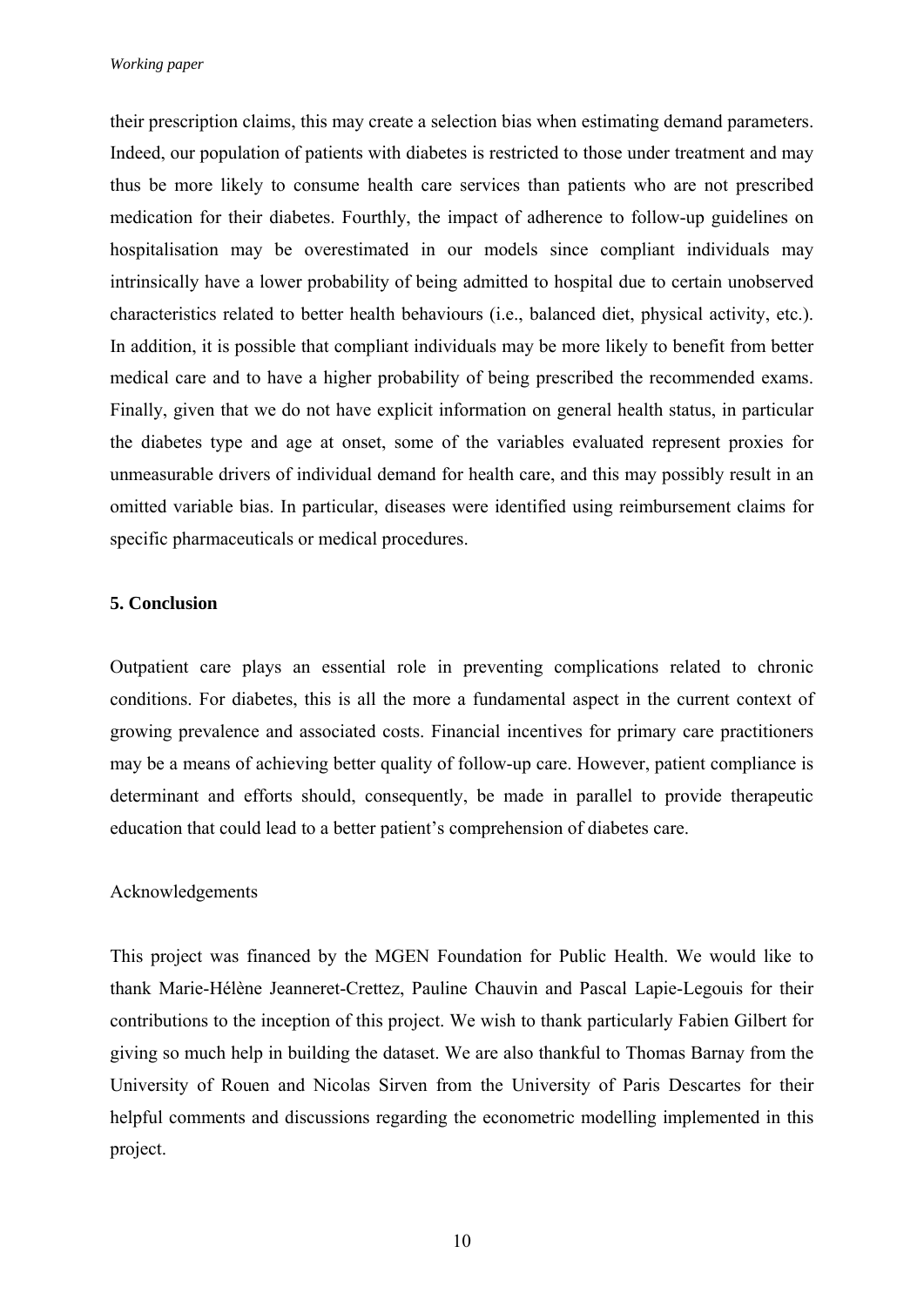their prescription claims, this may create a selection bias when estimating demand parameters. Indeed, our population of patients with diabetes is restricted to those under treatment and may thus be more likely to consume health care services than patients who are not prescribed medication for their diabetes. Fourthly, the impact of adherence to follow-up guidelines on hospitalisation may be overestimated in our models since compliant individuals may intrinsically have a lower probability of being admitted to hospital due to certain unobserved characteristics related to better health behaviours (i.e., balanced diet, physical activity, etc.). In addition, it is possible that compliant individuals may be more likely to benefit from better medical care and to have a higher probability of being prescribed the recommended exams. Finally, given that we do not have explicit information on general health status, in particular the diabetes type and age at onset, some of the variables evaluated represent proxies for unmeasurable drivers of individual demand for health care, and this may possibly result in an omitted variable bias. In particular, diseases were identified using reimbursement claims for specific pharmaceuticals or medical procedures.

### **5. Conclusion**

Outpatient care plays an essential role in preventing complications related to chronic conditions. For diabetes, this is all the more a fundamental aspect in the current context of growing prevalence and associated costs. Financial incentives for primary care practitioners may be a means of achieving better quality of follow-up care. However, patient compliance is determinant and efforts should, consequently, be made in parallel to provide therapeutic education that could lead to a better patient's comprehension of diabetes care.

### Acknowledgements

This project was financed by the MGEN Foundation for Public Health. We would like to thank Marie-Hélène Jeanneret-Crettez, Pauline Chauvin and Pascal Lapie-Legouis for their contributions to the inception of this project. We wish to thank particularly Fabien Gilbert for giving so much help in building the dataset. We are also thankful to Thomas Barnay from the University of Rouen and Nicolas Sirven from the University of Paris Descartes for their helpful comments and discussions regarding the econometric modelling implemented in this project.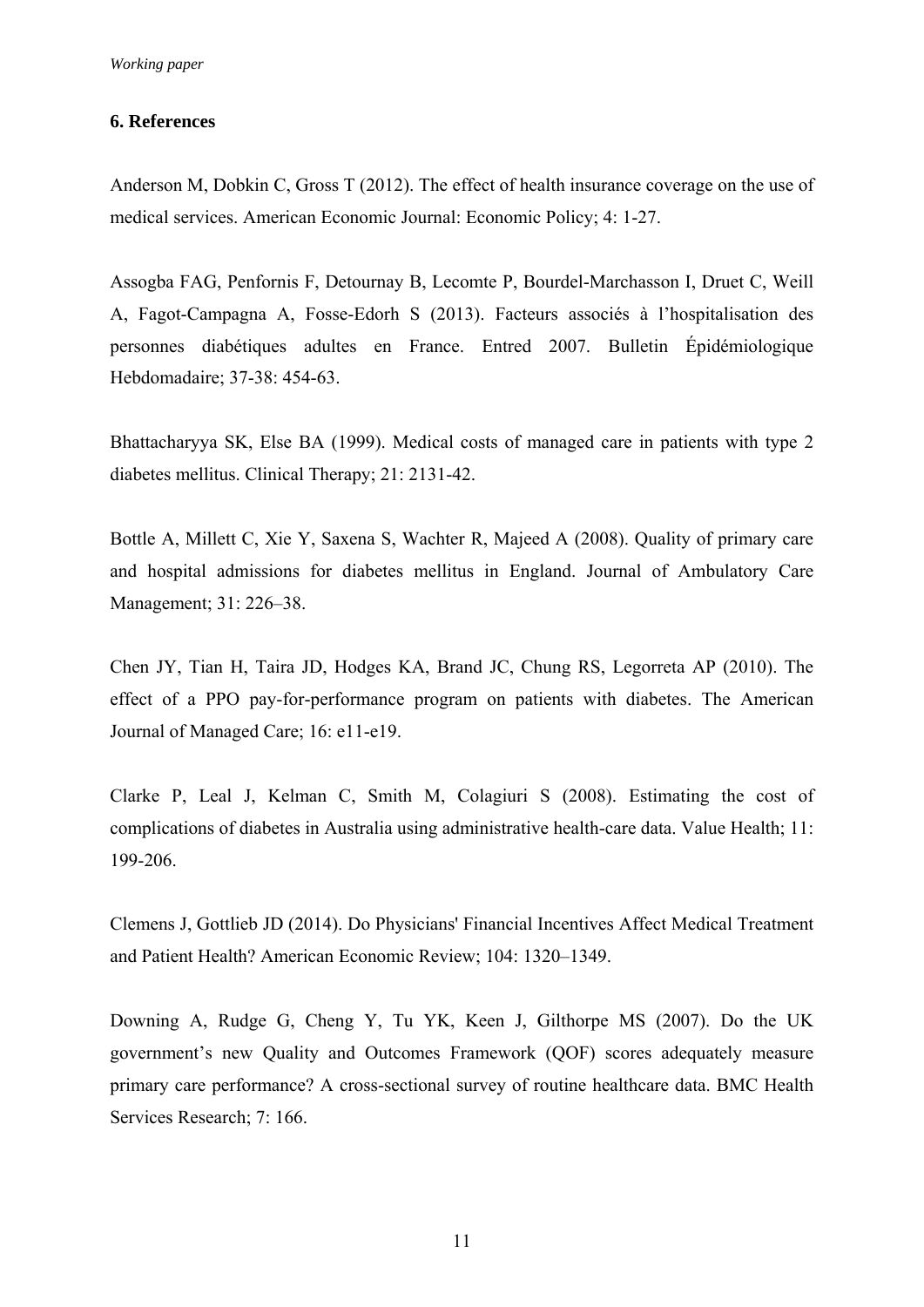### **6. References**

Anderson M, Dobkin C, Gross T (2012). The effect of health insurance coverage on the use of medical services. American Economic Journal: Economic Policy; 4: 1-27.

Assogba FAG, Penfornis F, Detournay B, Lecomte P, Bourdel-Marchasson I, Druet C, Weill A, Fagot-Campagna A, Fosse-Edorh S (2013). Facteurs associés à l'hospitalisation des personnes diabétiques adultes en France. Entred 2007. Bulletin Épidémiologique Hebdomadaire; 37-38: 454-63.

Bhattacharyya SK, Else BA (1999). Medical costs of managed care in patients with type 2 diabetes mellitus. Clinical Therapy; 21: 2131-42.

Bottle A, Millett C, Xie Y, Saxena S, Wachter R, Majeed A (2008). Quality of primary care and hospital admissions for diabetes mellitus in England. Journal of Ambulatory Care Management; 31: 226–38.

Chen JY, Tian H, Taira JD, Hodges KA, Brand JC, Chung RS, Legorreta AP (2010). The effect of a PPO pay-for-performance program on patients with diabetes. The American Journal of Managed Care; 16: e11-e19.

Clarke P, Leal J, Kelman C, Smith M, Colagiuri S (2008). Estimating the cost of complications of diabetes in Australia using administrative health-care data. Value Health; 11: 199-206.

Clemens J, Gottlieb JD (2014). Do Physicians' Financial Incentives Affect Medical Treatment and Patient Health? American Economic Review; 104: 1320–1349.

Downing A, Rudge G, Cheng Y, Tu YK, Keen J, Gilthorpe MS (2007). Do the UK government's new Quality and Outcomes Framework (QOF) scores adequately measure primary care performance? A cross-sectional survey of routine healthcare data. BMC Health Services Research; 7: 166.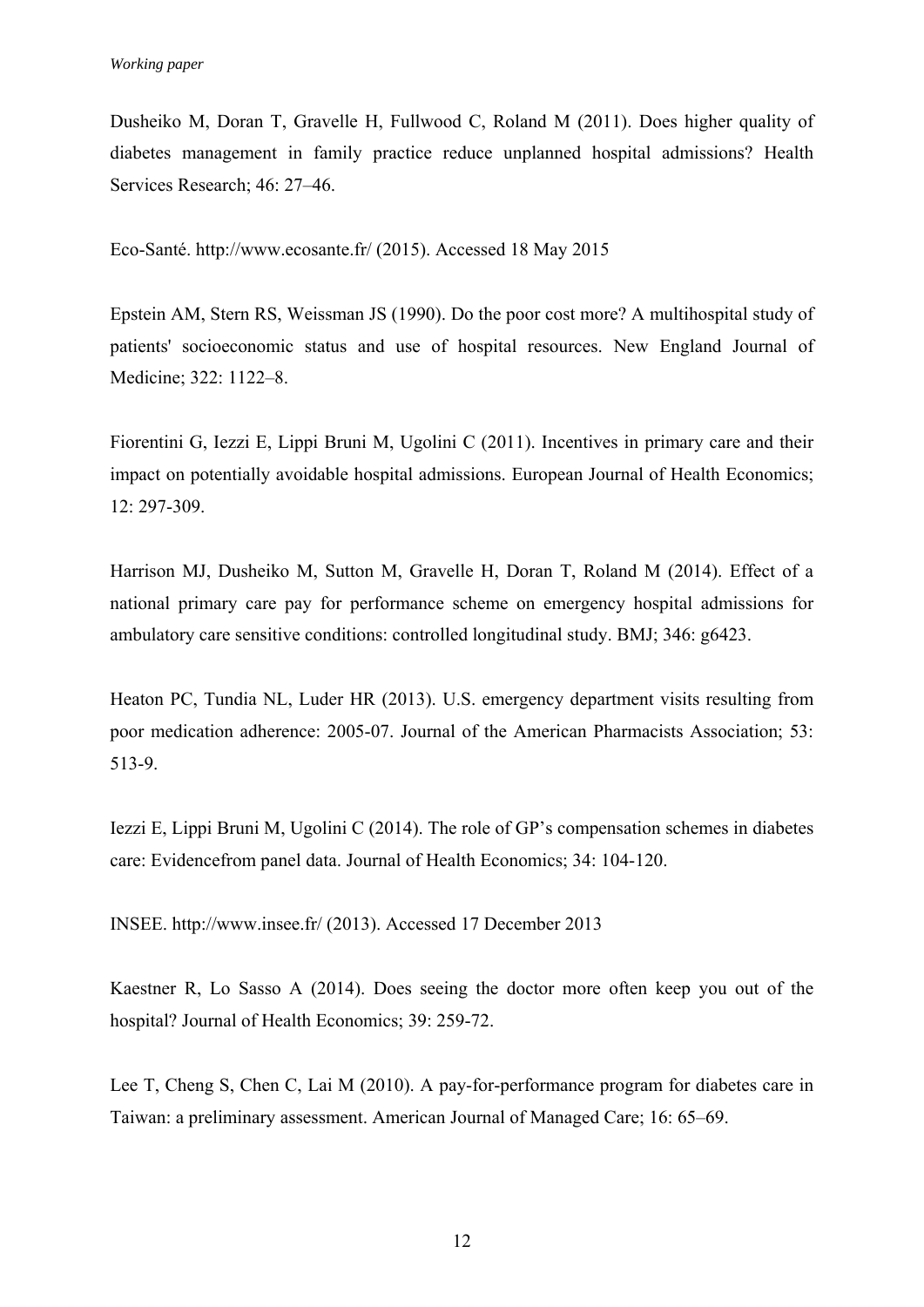Dusheiko M, Doran T, Gravelle H, Fullwood C, Roland M (2011). Does higher quality of diabetes management in family practice reduce unplanned hospital admissions? Health Services Research; 46: 27–46.

Eco-Santé. http://www.ecosante.fr/ (2015). Accessed 18 May 2015

Epstein AM, Stern RS, Weissman JS (1990). Do the poor cost more? A multihospital study of patients' socioeconomic status and use of hospital resources. New England Journal of Medicine; 322: 1122–8.

Fiorentini G, Iezzi E, Lippi Bruni M, Ugolini C (2011). Incentives in primary care and their impact on potentially avoidable hospital admissions. European Journal of Health Economics; 12: 297-309.

Harrison MJ, Dusheiko M, Sutton M, Gravelle H, Doran T, Roland M (2014). Effect of a national primary care pay for performance scheme on emergency hospital admissions for ambulatory care sensitive conditions: controlled longitudinal study. BMJ; 346: g6423.

Heaton PC, Tundia NL, Luder HR (2013). U.S. emergency department visits resulting from poor medication adherence: 2005-07. Journal of the American Pharmacists Association; 53: 513-9.

Iezzi E, Lippi Bruni M, Ugolini C (2014). The role of GP's compensation schemes in diabetes care: Evidencefrom panel data. Journal of Health Economics; 34: 104-120.

INSEE. http://www.insee.fr/ (2013). Accessed 17 December 2013

Kaestner R, Lo Sasso A (2014). Does seeing the doctor more often keep you out of the hospital? Journal of Health Economics; 39: 259-72.

Lee T, Cheng S, Chen C, Lai M (2010). A pay-for-performance program for diabetes care in Taiwan: a preliminary assessment. American Journal of Managed Care; 16: 65–69.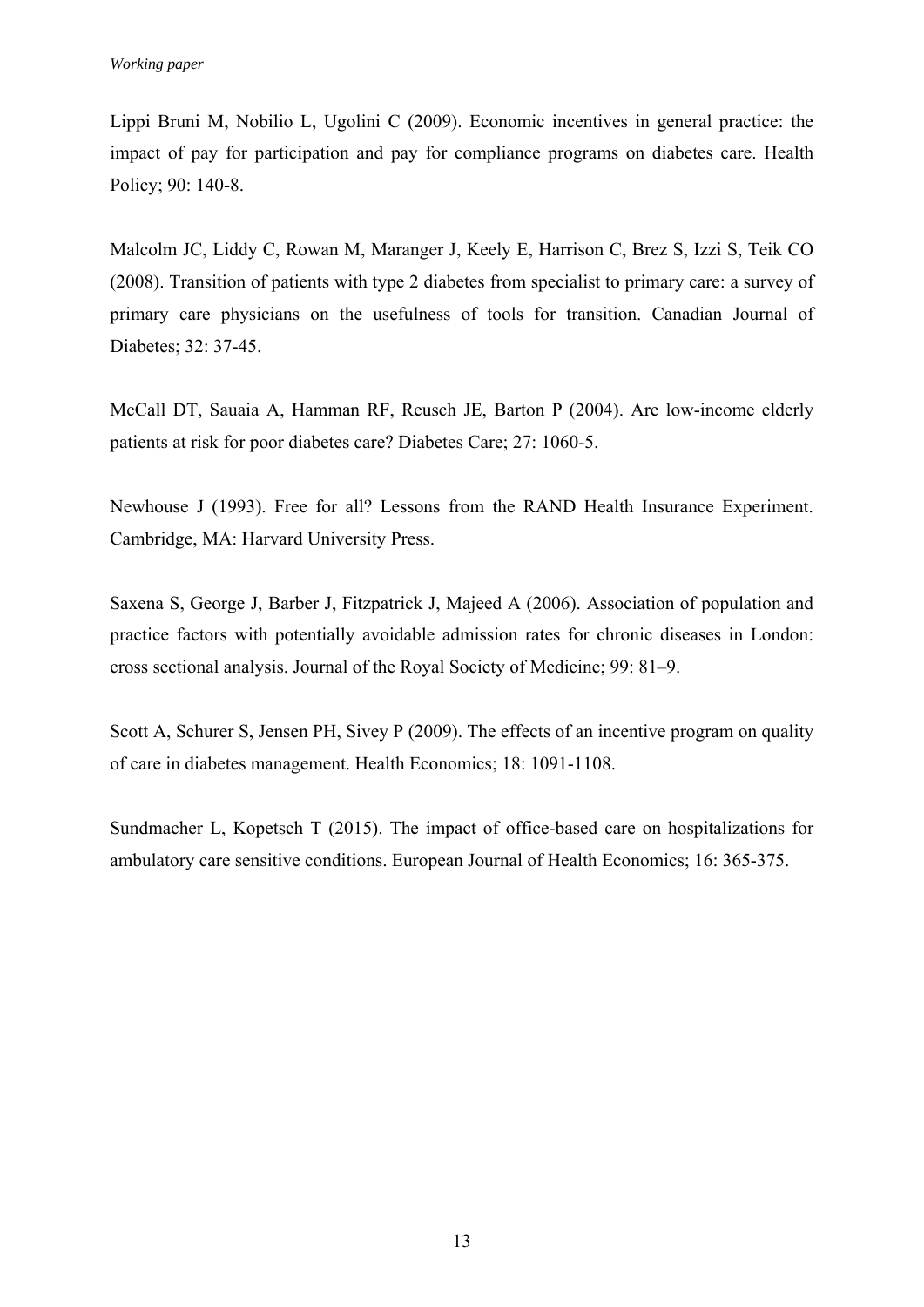Lippi Bruni M, Nobilio L, Ugolini C (2009). Economic incentives in general practice: the impact of pay for participation and pay for compliance programs on diabetes care. Health Policy; 90: 140-8.

Malcolm JC, Liddy C, Rowan M, Maranger J, Keely E, Harrison C, Brez S, Izzi S, Teik CO (2008). Transition of patients with type 2 diabetes from specialist to primary care: a survey of primary care physicians on the usefulness of tools for transition. Canadian Journal of Diabetes; 32: 37-45.

McCall DT, Sauaia A, Hamman RF, Reusch JE, Barton P (2004). Are low-income elderly patients at risk for poor diabetes care? Diabetes Care; 27: 1060-5.

Newhouse J (1993). Free for all? Lessons from the RAND Health Insurance Experiment. Cambridge, MA: Harvard University Press.

Saxena S, George J, Barber J, Fitzpatrick J, Majeed A (2006). Association of population and practice factors with potentially avoidable admission rates for chronic diseases in London: cross sectional analysis. Journal of the Royal Society of Medicine; 99: 81–9.

Scott A, Schurer S, Jensen PH, Sivey P (2009). The effects of an incentive program on quality of care in diabetes management. Health Economics; 18: 1091-1108.

Sundmacher L, Kopetsch T (2015). The impact of office-based care on hospitalizations for ambulatory care sensitive conditions. European Journal of Health Economics; 16: 365-375.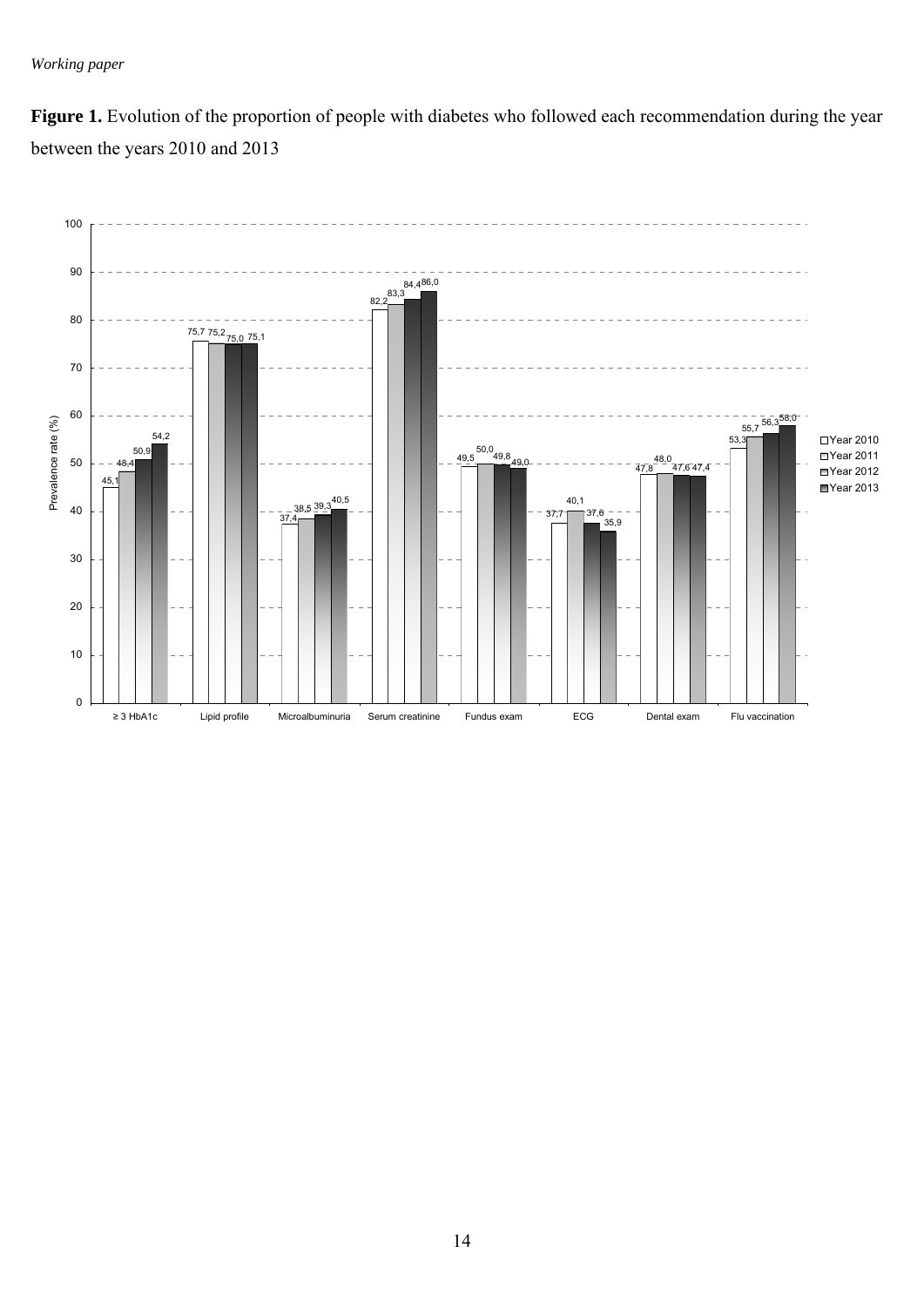Figure 1. Evolution of the proportion of people with diabetes who followed each recommendation during the year between the years 2010 and 2013

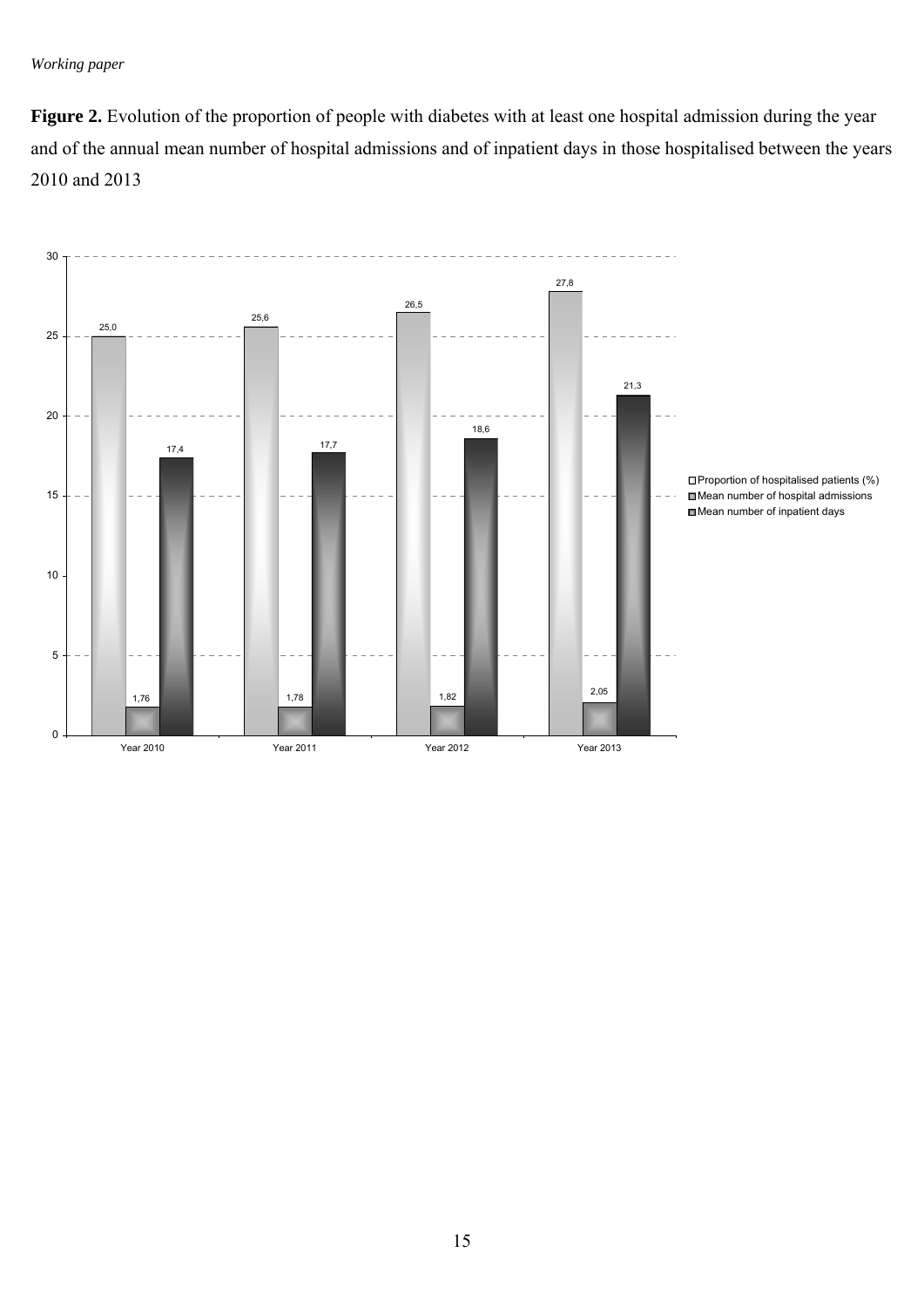**Figure 2.** Evolution of the proportion of people with diabetes with at least one hospital admission during the year and of the annual mean number of hospital admissions and of inpatient days in those hospitalised between the years 2010 and 2013

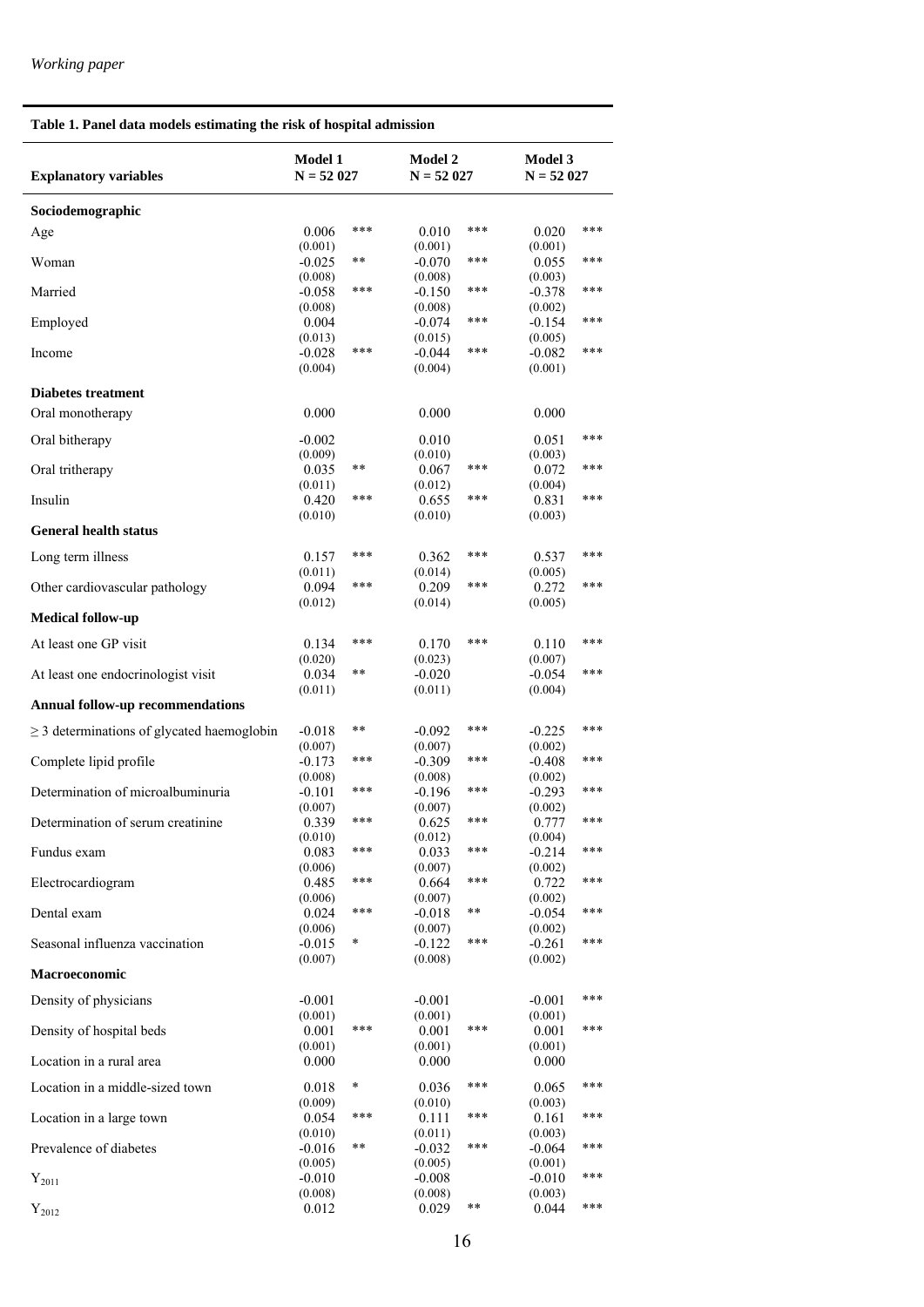$\overline{a}$ 

### **Table 1. Panel data models estimating the risk of hospital admission**

| <b>Explanatory variables</b>                    | Model 1<br>$N = 52027$ |              | <b>Model 2</b><br>$N = 52027$ |       | <b>Model 3</b><br>$N = 52027$ |       |
|-------------------------------------------------|------------------------|--------------|-------------------------------|-------|-------------------------------|-------|
| Sociodemographic                                |                        |              |                               |       |                               |       |
| Age                                             | 0.006                  | ***          | 0.010                         | ***   | 0.020                         | ***   |
|                                                 | (0.001)                | $\star\star$ | (0.001)                       | ***   | (0.001)                       | ***   |
| Woman                                           | $-0.025$<br>(0.008)    |              | $-0.070$<br>(0.008)           |       | 0.055<br>(0.003)              |       |
| Married                                         | $-0.058$               | ***          | $-0.150$                      | ***   | $-0.378$                      | ***   |
| Employed                                        | (0.008)<br>0.004       |              | (0.008)<br>$-0.074$           | ***   | (0.002)<br>$-0.154$           | ***   |
|                                                 | (0.013)                |              | (0.015)                       |       | (0.005)                       |       |
| Income                                          | $-0.028$<br>(0.004)    | ***          | $-0.044$<br>(0.004)           | ***   | $-0.082$<br>(0.001)           | $***$ |
|                                                 |                        |              |                               |       |                               |       |
| <b>Diabetes treatment</b><br>Oral monotherapy   | 0.000                  |              | 0.000                         |       | 0.000                         |       |
|                                                 |                        |              |                               |       |                               |       |
| Oral bitherapy                                  | $-0.002$<br>(0.009)    |              | 0.010<br>(0.010)              |       | 0.051<br>(0.003)              | ***   |
| Oral tritherapy                                 | 0.035                  | $***$        | 0.067                         | ***   | 0.072                         | ***   |
|                                                 | (0.011)                | ***          | (0.012)                       | ***   | (0.004)                       | ***   |
| Insulin                                         | 0.420<br>(0.010)       |              | 0.655<br>(0.010)              |       | 0.831<br>(0.003)              |       |
| <b>General health status</b>                    |                        |              |                               |       |                               |       |
| Long term illness                               | 0.157                  | ***          | 0.362                         | ***   | 0.537                         | ***   |
|                                                 | (0.011)                | $***$        | (0.014)                       | ***   | (0.005)                       | ***   |
| Other cardiovascular pathology                  | 0.094<br>(0.012)       |              | 0.209<br>(0.014)              |       | 0.272<br>(0.005)              |       |
| Medical follow-up                               |                        |              |                               |       |                               |       |
| At least one GP visit                           | 0.134                  | ***          | 0.170                         | ***   | 0.110                         | ***   |
| At least one endocrinologist visit              | (0.020)<br>0.034       | $* *$        | (0.023)<br>$-0.020$           |       | (0.007)<br>$-0.054$           | ***   |
|                                                 | (0.011)                |              | (0.011)                       |       | (0.004)                       |       |
| <b>Annual follow-up recommendations</b>         |                        |              |                               |       |                               |       |
| $\geq$ 3 determinations of glycated haemoglobin | $-0.018$               | $* *$        | $-0.092$                      | ***   | $-0.225$                      | ***   |
| Complete lipid profile                          | (0.007)<br>$-0.173$    | ***          | (0.007)<br>$-0.309$           | ***   | (0.002)<br>$-0.408$           | ***   |
|                                                 | (0.008)                |              | (0.008)                       |       | (0.002)                       |       |
| Determination of microalbuminuria               | $-0.101$<br>(0.007)    | ***          | $-0.196$<br>(0.007)           | ***   | $-0.293$<br>(0.002)           | ***   |
| Determination of serum creatinine               | 0.339                  | $***$        | 0.625                         | ***   | 0.777                         | ***   |
|                                                 | (0.010)                | ***          | (0.012)                       | ***   | (0.004)                       | ***   |
| Fundus exam                                     | 0.083<br>(0.006)       |              | 0.033<br>(0.007)              |       | $-0.214$<br>(0.002)           |       |
| Electrocardiogram                               | 0.485                  | ***          | 0.664                         | ***   | 0.722                         | $***$ |
| Dental exam                                     | (0.006)<br>0.024       | ***          | (0.007)<br>$-0.018$           | **    | (0.002)<br>$-0.054$           | $***$ |
|                                                 | (0.006)                |              | (0.007)                       |       | (0.002)                       |       |
| Seasonal influenza vaccination                  | $-0.015$<br>(0.007)    | $\ast$       | $-0.122$<br>(0.008)           | ***   | $-0.261$<br>(0.002)           | $***$ |
| Macroeconomic                                   |                        |              |                               |       |                               |       |
| Density of physicians                           | $-0.001$               |              | $-0.001$                      |       | $-0.001$                      | ***   |
|                                                 | (0.001)                | ***          | (0.001)                       | ***   | (0.001)                       | ***   |
| Density of hospital beds                        | 0.001<br>(0.001)       |              | 0.001<br>(0.001)              |       | 0.001<br>(0.001)              |       |
| Location in a rural area                        | 0.000                  |              | 0.000                         |       | 0.000                         |       |
| Location in a middle-sized town                 | 0.018                  | ¥            | 0.036                         | ***   | 0.065                         | ***   |
|                                                 | (0.009)                | ***          | (0.010)                       | ***   | (0.003)                       | ***   |
| Location in a large town                        | 0.054<br>(0.010)       |              | 0.111<br>(0.011)              |       | 0.161<br>(0.003)              |       |
| Prevalence of diabetes                          | $-0.016$               | $* *$        | $-0.032$                      | ***   | $-0.064$                      | $***$ |
| $Y_{2011}$                                      | (0.005)<br>$-0.010$    |              | (0.005)<br>$-0.008$           |       | (0.001)<br>$-0.010$           | ***   |
|                                                 | (0.008)                |              | (0.008)                       |       | (0.003)                       |       |
| $Y_{2012}$                                      | 0.012                  |              | 0.029                         | $***$ | 0.044                         | ***   |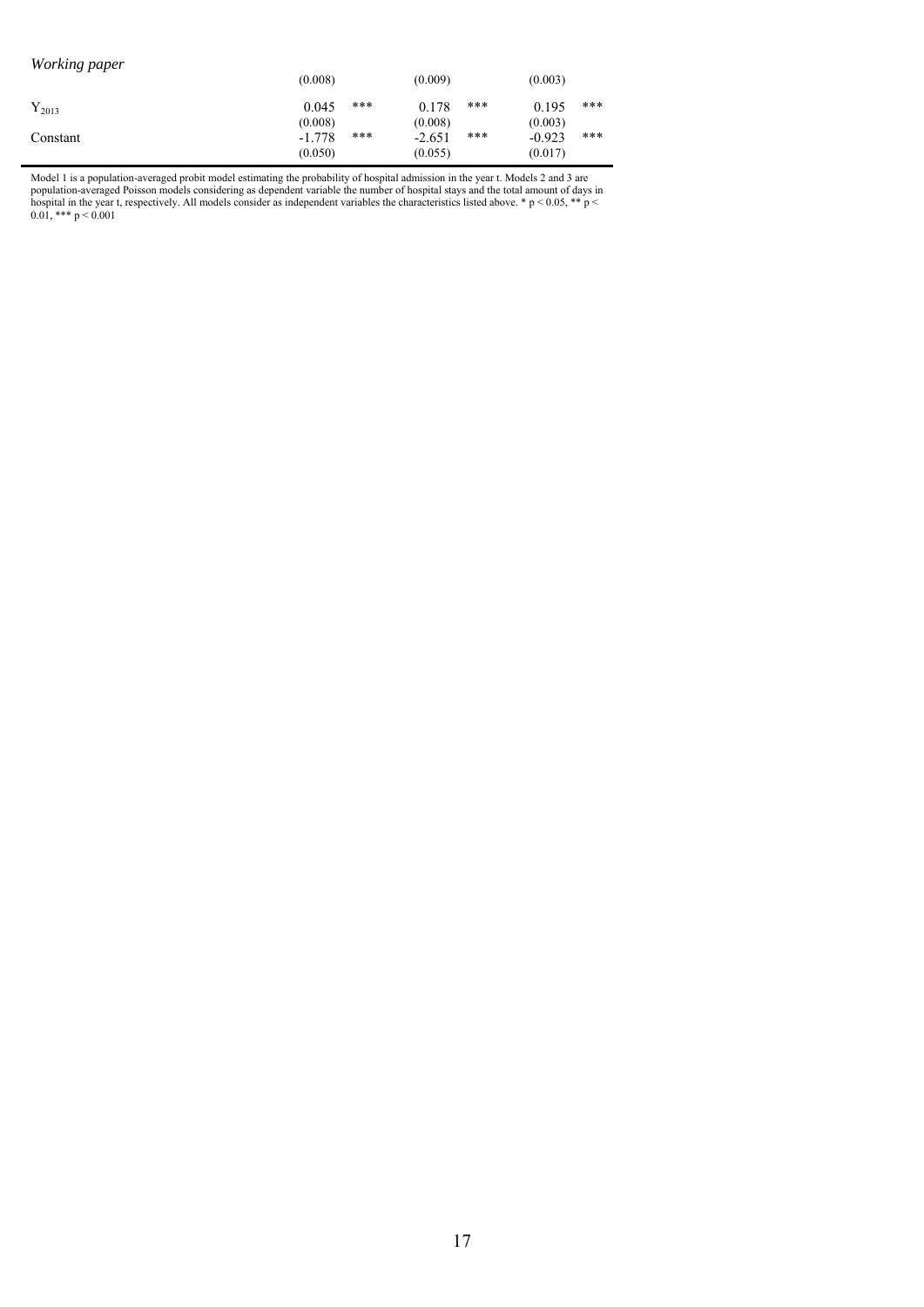| Working paper | (0.008)                        |       | (0.009)                        |     | (0.003)                        |       |
|---------------|--------------------------------|-------|--------------------------------|-----|--------------------------------|-------|
| $Y_{2013}$    | 0.045                          | $***$ | 0.178                          | *** | 0.195                          | $***$ |
| Constant      | (0.008)<br>$-1.778$<br>(0.050) | $***$ | (0.008)<br>$-2.651$<br>(0.055) | *** | (0.003)<br>$-0.923$<br>(0.017) | $***$ |

Model 1 is a population-averaged probit model estimating the probability of hospital admission in the year t. Models 2 and 3 are population-averaged Poisson models considering as dependent variable the number of hospital stays and the total amount of days in hospital in the year t, respectively. All models consider as independent variables the characteristics listed above.  $* p < 0.05$ ,  $** p <$ 0.01, \*\*\*  $p < 0.001$